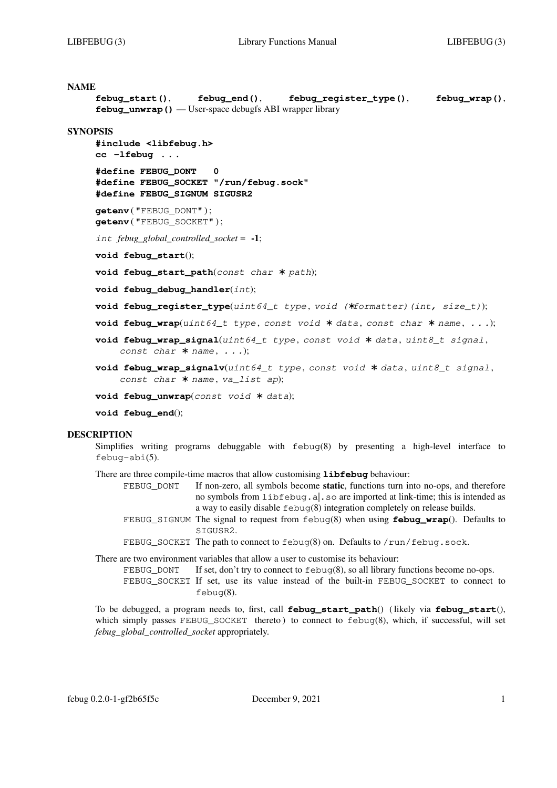```
NAME
     febug_start(), febug_end(), febug_register_type(), febug_wrap(),
     febug_unwrap() — User-space debugfs ABI wrapper library
SYNOPSIS
     #include <libfebug.h>
     cc −lfebug ...
     #define FEBUG_DONT 0
     #define FEBUG_SOCKET "/run/febug.sock"
     #define FEBUG_SIGNUM SIGUSR2
     getenv ( "FEBUG_DONT" ) ;
     getenv ( "FEBUG_SOCKET" ) ;
     int febug_global_controlled_socket = -1;
     void febug_start();
     void febug_start_path(const char ∗ path);
     void febug_debug_handler(int);
     void febug_register_type(uint64_t type , void (∗formatter)(int, size_t));
     void febug_wrap(uint64_t type , const void ∗ data , const char ∗ name , ...);
     void febug_wrap_signal(uint64_t type , const void ∗ data , uint8_t signal ,
          const char ∗ name , ...);
     void febug_wrap_signalv(uint64_t type , const void ∗ data , uint8_t signal ,
          const char ∗ name , va_list ap);
     void febug_unwrap(const void ∗ data);
     void febug_end();
```

```
DESCRIPTION
```
Simplifies writing programs debuggable with febug(8) by presenting a high-level interface to febug-abi(5).

There are three compile-time macros that allow customising **libfebug** behaviour:

- FEBUG\_DONT If non-zero, all symbols become **static**, functions turn into no-ops, and therefore no symbols from libfebug.a|.so are imported at link-time; this is intended as a way to easily disable febug(8) integration completely on release builds.
- FEBUG\_SIGNUM The signal to request from febug(8) when using **febug\_wrap**(). Defaults to SIGUSR2.
- FEBUG\_SOCKET The path to connect to febug(8) on. Defaults to /run/febug.sock.

There are two environment variables that allow a user to customise its behaviour:

FEBUG DONT If set, don't try to connect to  $\epsilon$  febug(8), so all library functions become no-ops. FEBUG SOCKET If set, use its value instead of the built-in FEBUG SOCKET to connect to febug(8).

To be debugged, a program needs to, first, call **febug\_start\_path**() ( likely via **febug\_start**(), which simply passes FEBUG SOCKET thereto ) to connect to  $febu\sigma(8)$ , which, if successful, will set *febug\_global\_controlled\_socket* appropriately.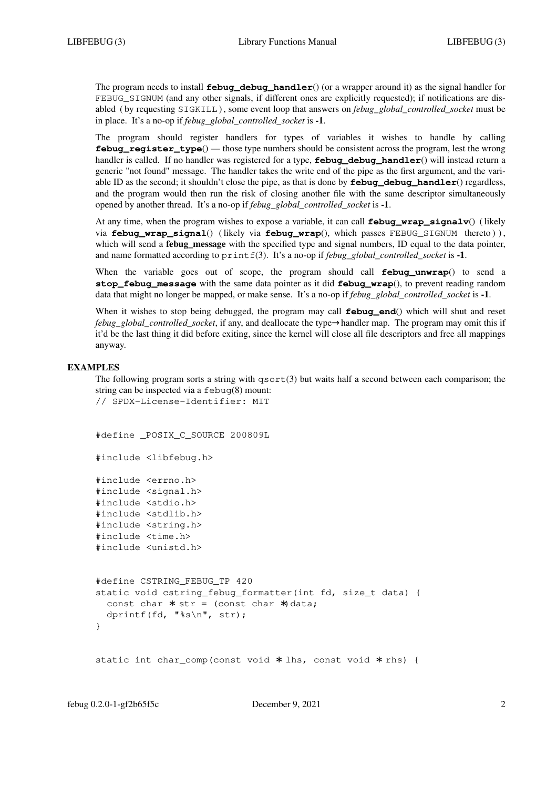The program needs to install **febug\_debug\_handler**() (or a wrapper around it) as the signal handler for FEBUG\_SIGNUM (and any other signals, if different ones are explicitly requested); if notifications are disabled ( by requesting SIGKILL ), some event loop that answers on *febug\_global\_controlled\_socket* must be in place. It'sano-op if *febug\_global\_controlled\_socket* is **-1**.

The program should register handlers for types of variables it wishes to handle by calling **febug\_register\_type**() — those type numbers should be consistent across the program, lest the wrong handler is called. If no handler was registered for a type, **febug\_debug\_handler**() will instead return a generic "not found" message. The handler takes the write end of the pipe as the first argument, and the variable ID as the second; it shouldn't close the pipe, as that is done by **febug\_debug\_handler**() regardless, and the program would then run the risk of closing another file with the same descriptor simultaneously opened by another thread. It'sano-op if *febug\_global\_controlled\_socket* is **-1**.

At any time, when the program wishes to expose a variable, it can call **febug\_wrap\_signalv**() ( likely via **febug\_wrap\_signal**() ( likely via **febug\_wrap**(), which passes FEBUG\_SIGNUM thereto ) ) , which will send a **febug message** with the specified type and signal numbers. ID equal to the data pointer, and name formatted according to printf(3). It's a no-op if *febug\_global\_controlled\_socket* is -1.

When the variable goes out of scope, the program should call **febug\_unwrap**() to send a **stop febug message** with the same data pointer as it did **febug wrap**(), to prevent reading random data that might no longer be mapped, or make sense. It'sano-op if *febug\_global\_controlled\_socket* is **-1**.

When it wishes to stop being debugged, the program may call **febug\_end**() which will shut and reset *febug\_global\_controlled\_socket*, if any, and deallocate the type→handler map. The program may omit this if it'd be the last thing it did before exiting, since the kernel will close all file descriptors and free all mappings anyway.

#### **EXAMPLES**

The following program sorts a string with  $qsort(3)$  but waits half a second between each comparison; the string can be inspected via a febug(8) mount:

```
// SPDX-License-Identifier: MIT
```
#define \_POSIX\_C\_SOURCE 200809L

```
#include <libfebug.h>
```
#include <errno.h> #include <signal.h> #include <stdio.h> #include <stdlib.h> #include <string.h> #include <time.h> #include <unistd.h>

```
#define CSTRING_FEBUG_TP 420
static void cstring_febug_formatter(int fd, size_t data) {
  const char * str = (const char *) data;
 dprintf(fd, "%s\n", str);
}
```
static int char\_comp(const void \* lhs, const void \* rhs) {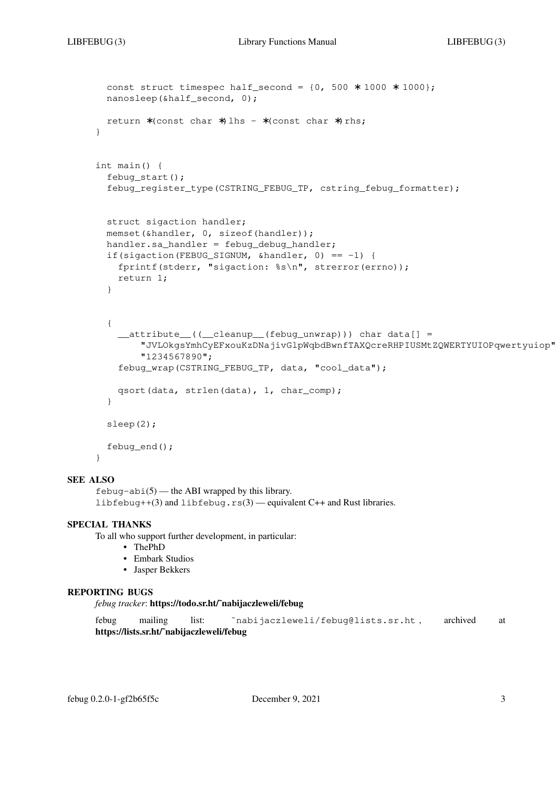```
const struct timespec half_second = \{0, 500 * 1000 * 1000\};
 nanosleep(&half_second, 0);
 return ∗(const char ∗)lhs - ∗(const char ∗)rhs;
}
int main() {
 febug_start();
  febug_register_type(CSTRING_FEBUG_TP, cstring_febug_formatter);
  struct sigaction handler;
  memset(&handler, 0, sizeof(handler));
  handler.sa handler = febug debug handler:
  if(sigaction(FEBUG_SIGNUM, &handler, 0) == -1) {
    fprintf(stderr, "sigaction: %s\n", strerror(errno));
   return 1;
  }
  {
     __attribute__((__cleanup__(febug_unwrap))) char data[] =
        "JVLOkgsYmhCyEFxouKzDNajivGlpWqbdBwnfTAXQcreRHPIUSMtZQWERTYUIOPqwertyuiop"
        "1234567890";
    febug_wrap(CSTRING_FEBUG_TP, data, "cool_data");
   qsort(data, strlen(data), 1, char_comp);
  }
 sleep(2);
  febug end();
}
```
 $febuq-abi(5)$  — the ABI wrapped by this library. libfebug++(3) and libfebug.rs(3) — equivalent C++ and Rust libraries.

#### **SPECIAL THANKS**

To all who support further development, in particular:

- **•** ThePhD
- **•** Embark Studios
- **•** Jasper Bekkers

#### **REPORTING BUGS**

*febug tracker*: **https://todo.sr.ht/˜nabijaczleweli/febug**

```
febug mailing list: 〈˜nabijaczleweli/febug@lists.sr.ht〉, archived at
https://lists.sr.ht/˜nabijaczleweli/febug
```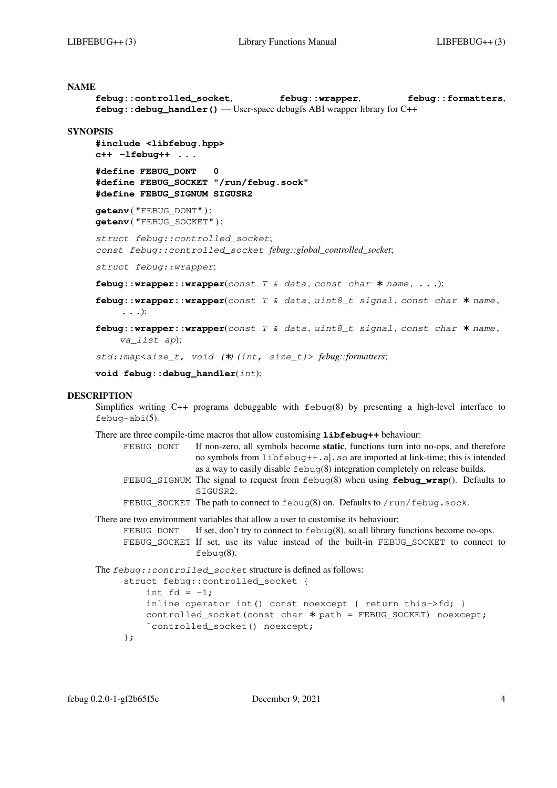```
febug::controlled_socket, febug::wrapper, febug::formatters,
febug:: debug_handler() — User-space debugfs ABI wrapper library for C++
```
#### **SYNOPSIS**

```
#include <libfebug.hpp>
c++ −lfebug++ ...
```

```
#define FEBUG_DONT 0
#define FEBUG_SOCKET "/run/febug.sock"
#define FEBUG_SIGNUM SIGUSR2
```
**getenv** ( "FEBUG\_DONT" ) ; **getenv** ( "FEBUG\_SOCKET" ) ;

*struct febug::controlled\_socket*; *const febug::controlled\_socket febug::global\_controlled\_socket*;

*struct febug::wrapper*;

**febug::wrapper::wrapper**(*const T & data* , *const char* ∗ *name* , *...*);

**febug::wrapper::wrapper**(*const T & data* , *uint8\_t signal* , *const char* ∗ *name* , *...*);

**febug::wrapper::wrapper**(*const T & data* , *uint8\_t signal* , *const char* ∗ *name* , *va\_list ap*);

*std::map<size\_t, void (*∗*)(int, size\_t)> febug::formatters*;

**void febug::debug\_handler**(*int*);

### **DESCRIPTION**

Simplifies writing  $C_{++}$  programs debuggable with  $febu\sigma(8)$  by presenting a high-level interface to febug-abi(5).

There are three compile-time macros that allow customising **libfebug++** behaviour:

- FEBUG\_DONT If non-zero, all symbols become **static**, functions turn into no-ops, and therefore no symbols from libfebug++.a|.so are imported at link-time; this is intended as a way to easily disable  $febuq(8)$  integration completely on release builds.
- FEBUG\_SIGNUM The signal to request from febug(8) when using **febug\_wrap**(). Defaults to SIGUSR2.

FEBUG\_SOCKET The path to connect to febug(8) on. Defaults to /run/febug.sock.

There are two environment variables that allow a user to customise its behaviour:

FEBUG DONT If set, don't try to connect to febug(8), so all library functions become no-ops. FEBUG\_SOCKET If set, use its value instead of the built-in FEBUG\_SOCKET to connect to febug(8).

The *febug::controlled\_socket* structure is defined as follows:

```
struct febug:: controlled socket {
   int fd = -1;inline operator int() const noexcept { return this->fd; }
    controlled_socket(const char ∗ path = FEBUG_SOCKET) noexcept;
    ˜controlled_socket() noexcept;
};
```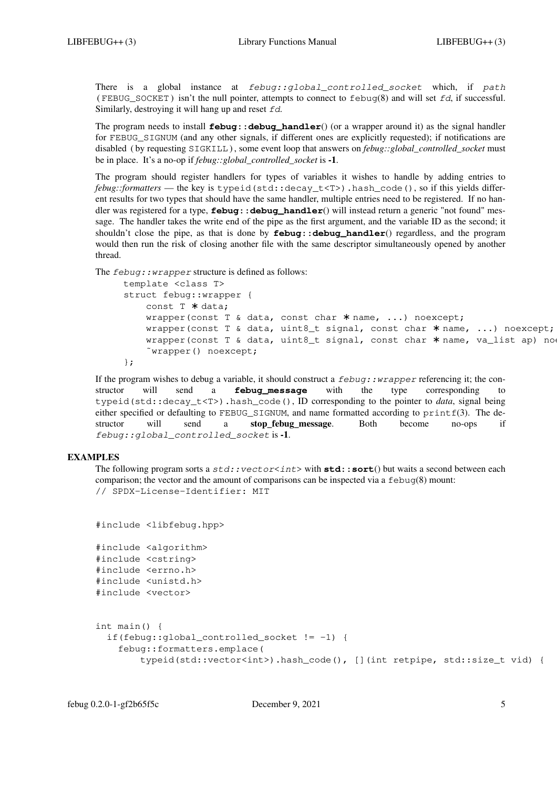There is a global instance at *febug::global\_controlled\_socket* which, if *path* (FEBUG\_SOCKET) isn't the null pointer, attempts to connect to  $f_{\text{ebuq}}(8)$  and will set *fd*, if successful. Similarly, destroying it will hang up and reset *fd*.

The program needs to install **febug::debug\_handler**() (or a wrapper around it) as the signal handler for FEBUG\_SIGNUM (and any other signals, if different ones are explicitly requested); if notifications are disabled ( by requesting SIGKILL ), some event loop that answers on *febug::global\_controlled\_socket* must be in place. It'sano-op if *febug::global\_controlled\_socket* is **-1**.

The program should register handlers for types of variables it wishes to handle by adding entries to *febug::formatters* — the key is typeid(std::decay\_t<T>).hash\_code(), so if this yields different results for two types that should have the same handler, multiple entries need to be registered. If no handler was registered for a type, **febug::debug\_handler**() will instead return a generic "not found" message. The handler takes the write end of the pipe as the first argument, and the variable ID as the second; it shouldn't close the pipe, as that is done by **febug::debug\_handler**() regardless, and the program would then run the risk of closing another file with the same descriptor simultaneously opened by another thread.

The *febug::wrapper* structure is defined as follows:

```
template <class T>
struct febug::wrapper {
   const T ∗ data;
   wrapper(const T & data, const char * name, ...) noexcept;
   wrapper(const T & data, uint8_t signal, const char * name, ...) noexcept;
   wrapper(const T & data, uint8_t signal, const char * name, va_list ap) noe
    ˜wrapper() noexcept;
};
```
If the program wishes to debug a variable, it should construct a *febug::wrapper* referencing it; the constructor will send a **febug\_message** with the type corresponding to typeid(std::decay\_t<T>).hash\_code(), ID corresponding to the pointer to *data*, signal being either specified or defaulting to  $FEBUG$  SIGNUM, and name formatted according to  $print(3)$ . The destructor will send a **stop\_febug\_message**. Both become no-ops if *febug::global\_controlled\_socket* is **-1**.

## **EXAMPLES**

The following program sorts a  $std::vectorint>$  with **std::sort**() but waits a second between each comparison; the vector and the amount of comparisons can be inspected via a  $f = b \log(8)$  mount: // SPDX-License-Identifier: MIT

```
#include <libfebug.hpp>
#include <algorithm>
#include <cstring>
#include <errno.h>
#include <unistd.h>
#include <vector>
int main() {
  if(febug::global_controlled_socket != -1) {
    febug::formatters.emplace(
        typeid(std::vector<int>).hash_code(), [](int retpipe, std::size_t vid) {
```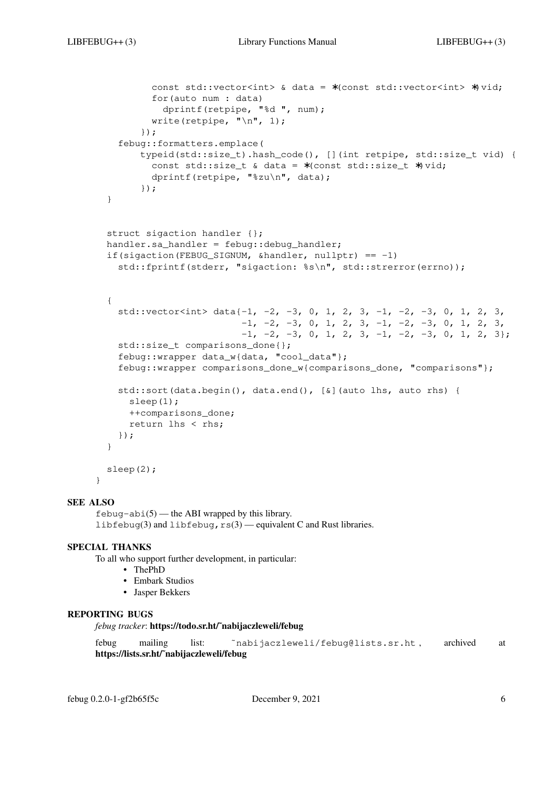```
const std::vector<int> & data = ∗(const std::vector<int> ∗)vid;
        for(auto num : data)
          dprintf(retpipe, "%d ", num);
        write(retpipe, "\n\cdot 1);
      });
  febug::formatters.emplace(
      typeid(std::size_t).hash_code(), [](int retpipe, std::size_t vid) {
       const std::size_t & data = ∗(const std::size_t ∗)vid;
       dprintf(retpipe, "%zu\n", data);
      });
}
struct sigaction handler {};
handler.sa handler = febug::debug handler;
if(sigaction(FEBUG_SIGNUM, \deltahandler, nullptr) == -1)
  std::fprintf(stderr, "sigaction: %s\n", std::strerror(errno));
{
  std::vector<int> data{-1, -2, -3, 0, 1, 2, 3, -1, -2, -3, 0, 1, 2, 3,
                        -1, -2, -3, 0, 1, 2, 3, -1, -2, -3, 0, 1, 2, 3,-1, -2, -3, 0, 1, 2, 3, -1, -2, -3, 0, 1, 2, 3std::size_t comparisons_done{};
  febug::wrapper data_w{data, "cool_data"};
  febug::wrapper comparisons_done_w{comparisons_done, "comparisons"};
  std::sort(data.begin(), data.end(), [&](auto lhs, auto rhs) {
   sleep(1);
   ++comparisons_done;
   return lhs < rhs;
  });
}
sleep(2);
```
}

```
febuq-abi(5) — the ABI wrapped by this library.
libfebug(3) and libfebug, rs(3) — equivalent C and Rust libraries.
```
## **SPECIAL THANKS**

To all who support further development, in particular:

- **•** ThePhD
- **•** Embark Studios
- **•** Jasper Bekkers

## **REPORTING BUGS**

*febug tracker*: **https://todo.sr.ht/˜nabijaczleweli/febug**

febug mailing list: 〈˜nabijaczleweli/febug@lists.sr.ht〉, archived at **https://lists.sr.ht/˜nabijaczleweli/febug**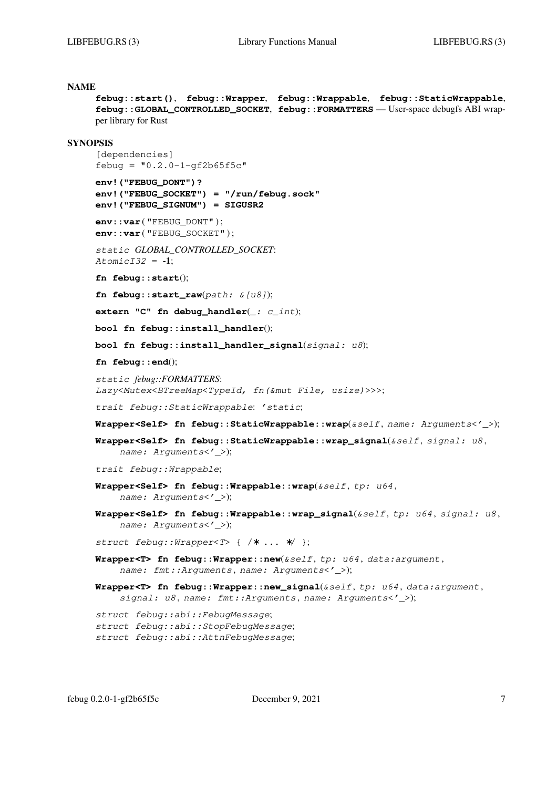```
febug::start(), febug::Wrapper, febug::Wrappable, febug::StaticWrappable,
febug::GLOBAL_CONTROLLED_SOCKET, febug::FORMATTERS — User-space debugfs ABI wrap-
per library for Rust
```
#### **SYNOPSIS**

[dependencies]  $febuq = "0.2.0-1-qf2b65f5c"$ 

**env!("FEBUG\_DONT")? env!("FEBUG\_SOCKET") = "/run/febug.sock" env!("FEBUG\_SIGNUM") = SIGUSR2**

**env::var** ( "FEBUG DONT" ); **env::var** ( "FEBUG\_SOCKET" ) ;

*static GLOBAL\_CONTROLLED\_SOCKET*: *AtomicI32* = **-1**;

**fn febug::start**();

**fn febug::start\_raw**(*path: &[u8]*);

**extern "C" fn debug\_handler**(*\_: c\_int*);

**bool fn febug::install\_handler**();

**bool fn febug::install\_handler\_signal**(*signal: u8*);

**fn febug::end**();

*static febug::FORMATTERS*: *Lazy<Mutex<BTreeMap<TypeId, fn(&mut File, usize)>>>*;

*trait febug::StaticWrappable*: *'static*;

**Wrapper<Self> fn febug::StaticWrappable::wrap**(*&self* , *name: Arguments<'\_>*);

**Wrapper<Self> fn febug::StaticWrappable::wrap\_signal**(*&self* , *signal: u8* , *name: Arguments<'\_>*);

*trait febug::Wrappable*;

- **Wrapper<Self> fn febug::Wrappable::wrap**(*&self* , *tp: u64* , *name: Arguments<'\_>*);
- **Wrapper<Self> fn febug::Wrappable::wrap\_signal**(*&self* , *tp: u64* , *signal: u8* , *name: Arguments<'\_>*);

*struct febug::Wrapper<T>* { /∗ ... ∗/ };

- **Wrapper<T> fn febug::Wrapper::new**(*&self* , *tp: u64* , *data:argument* , *name: fmt::Arguments* , *name: Arguments<'\_>*);
- **Wrapper<T> fn febug::Wrapper::new\_signal**(*&self* , *tp: u64* , *data:argument* , *signal: u8* , *name: fmt::Arguments* , *name: Arguments<'\_>*);

*struct febug::abi::FebugMessage*; *struct febug::abi::StopFebugMessage*; *struct febug::abi::AttnFebugMessage*;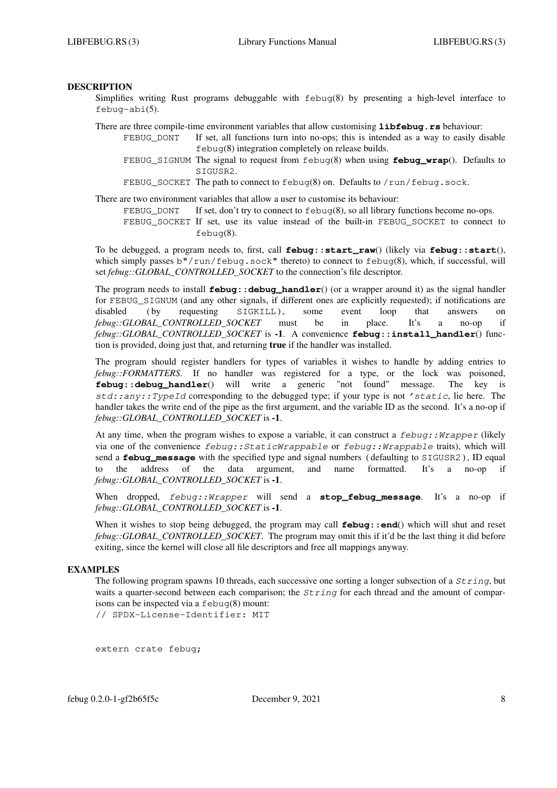## **DESCRIPTION**

Simplifies writing Rust programs debuggable with febug(8) by presenting a high-level interface to febug-abi(5).

There are three compile-time environment variables that allow customising **libfebug.rs** behaviour:

- FEBUG\_DONT If set, all functions turn into no-ops; this is intended as a way to easily disable febug(8) integration completely on release builds.
	- FEBUG SIGNUM The signal to request from febug(8) when using **febug wrap**(). Defaults to SIGUSR2.
	- FEBUG\_SOCKET The path to connect to febug(8) on. Defaults to /run/febug.sock.
- There are two environment variables that allow a user to customise its behaviour:
	- FEBUG\_DONT If set, don't try to connect to  $febuq(8)$ , so all library functions become no-ops. FEBUG SOCKET If set, use its value instead of the built-in FEBUG SOCKET to connect to febug(8).

To be debugged, a program needs to, first, call **febug::start\_raw**() (likely via **febug::start**(), which simply passes b"/run/febug.sock" thereto) to connect to febug(8), which, if successful, will set *febug*::*GLOBAL\_CONTROLLED\_SOCKET* to the connection's file descriptor.

The program needs to install **febug: : debug\_handler**() (or a wrapper around it) as the signal handler for FEBUG\_SIGNUM (and any other signals, if different ones are explicitly requested); if notifications are disabled (by requesting SIGKILL), some event loop that answers on *febug::GLOBAL\_CONTROLLED\_SOCKET* must be in place. It's a no-op if *febug::GLOBAL\_CONTROLLED\_SOCKET* is **-1**. A convenience **febug::install\_handler**() function is provided, doing just that, and returning **true** if the handler was installed.

The program should register handlers for types of variables it wishes to handle by adding entries to *febug::FORMATTERS*. If no handler was registered for a type, or the lock was poisoned, **febug::debug\_handler**() will write a generic "not found" message. The key is *std::any::TypeId* corresponding to the debugged type; if your type is not *'static*, lie here. The handler takes the write end of the pipe as the first argument, and the variable ID as the second. It's a no-op if *febug::GLOBAL\_CONTROLLED\_SOCKET* is **-1**.

At any time, when the program wishes to expose a variable, it can construct a *febug::Wrapper* (likely via one of the convenience *febug::StaticWrappable* or *febug::Wrappable* traits), which will send a **febug message** with the specified type and signal numbers ( defaulting to SIGUSR2), ID equal to the address of the data argument, and name formatted. It's a no-op if *febug::GLOBAL\_CONTROLLED\_SOCKET* is **-1**.

When dropped, *febug::Wrapper* will send a **stop\_febug\_message**. It's a no-op if *febug::GLOBAL\_CONTROLLED\_SOCKET* is **-1**.

When it wishes to stop being debugged, the program may call **febug: : end**() which will shut and reset *febug::GLOBAL\_CONTROLLED\_SOCKET*. The program may omit this if it'd be the last thing it did before exiting, since the kernel will close all file descriptors and free all mappings anyway.

#### **EXAMPLES**

The following program spawns 10 threads, each successive one sorting a longer subsection of a *String*, but waits a quarter-second between each comparison; the *String* for each thread and the amount of comparisons can be inspected via a febug(8) mount:

// SPDX-License-Identifier: MIT

extern crate febug;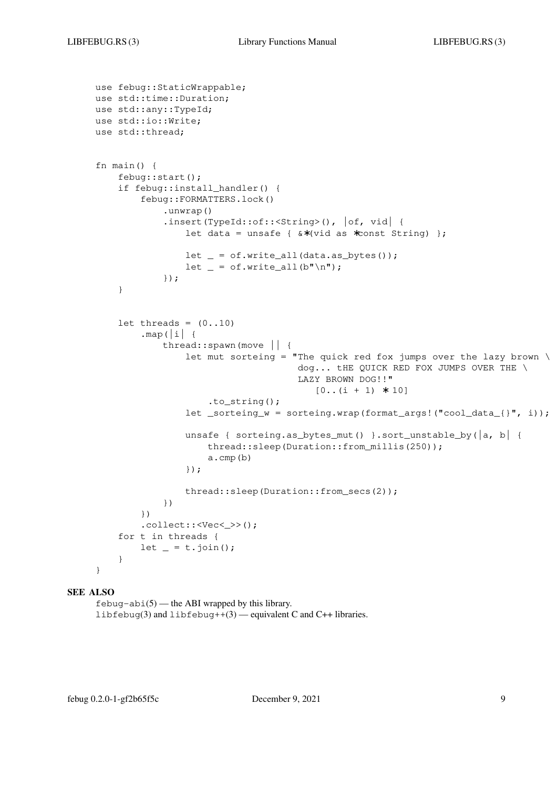```
use febug::StaticWrappable;
use std::time::Duration;
use std::any::TypeId;
use std::io::Write;
use std::thread;
fn main() {
    febug::start();
    if febug::install_handler() {
        febug::FORMATTERS.lock()
            .unwrap()
            .insert(TypeId::of::<String>(), |of, vid| {
                let data = unsafe { &∗(vid as ∗const String) };
                let = of.write_all(data.as_bytes());
                let = of.write_all(b"\n^n);});
    }
    let threads = (0..10).map(|i|thread::spawn(move || {
                let mut sorteing = "The quick red fox jumps over the lazy brown \
                                    dog... tHE QUICK RED FOX JUMPS OVER THE \
                                    LAZY BROWN DOG!!"
                                       [0..(i + 1) * 10].to_string();
                let _sorteing_w = sorteing.wrap(format_args!("cool_data_{}", i));
                unsafe { sorteing.as_bytes_mut() }.sort_unstable_by(|a, b| {
                    thread::sleep(Duration::from millis(250));
                    a.cmp(b)
                });
                thread::sleep(Duration::from_secs(2));
            })
        })
        .collect::<Vec<_>>();
    for t in threads {
       let = t.join();
    }
}
```
 $febuq-abi(5)$  — the ABI wrapped by this library. libfebug(3) and libfebug++(3) — equivalent C and C++ libraries.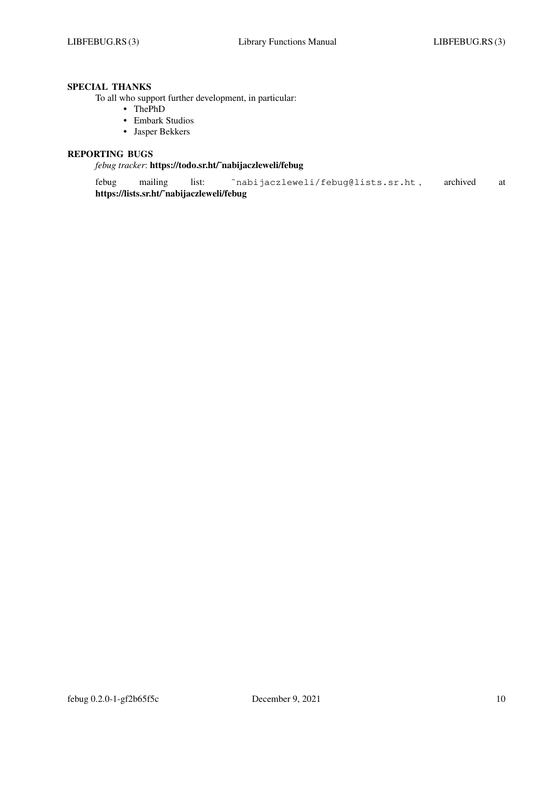# **SPECIAL THANKS**

To all who support further development, in particular:

- **•** ThePhD
- **•** Embark Studios
- **•** Jasper Bekkers

# **REPORTING BUGS**

## *febug tracker*: **https://todo.sr.ht/˜nabijaczleweli/febug**

febug mailing list: 〈˜nabijaczleweli/febug@lists.sr.ht〉, archived at **https://lists.sr.ht/˜nabijaczleweli/febug**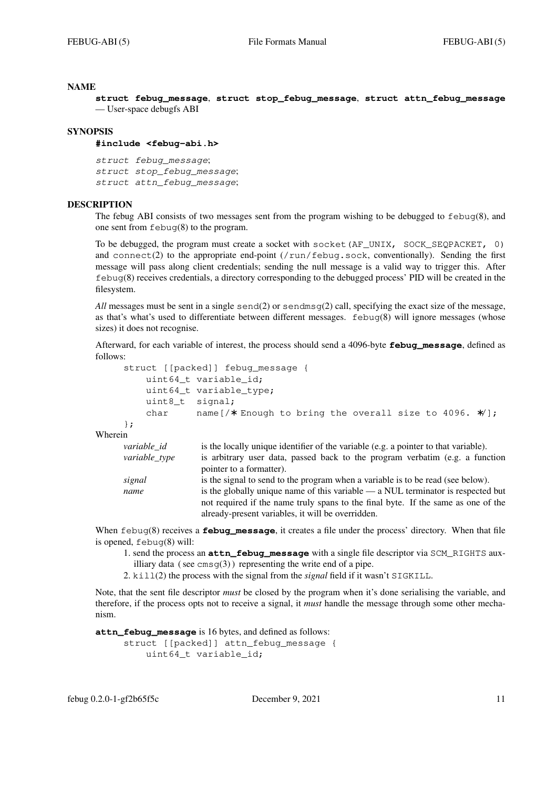**struct febug\_message**, **struct stop\_febug\_message**, **struct attn\_febug\_message** — User-space debugfs ABI

### **SYNOPSIS**

#### **#include <febug-abi.h>**

*struct febug\_message*; *struct stop\_febug\_message*; *struct attn\_febug\_message*;

#### **DESCRIPTION**

The febug ABI consists of two messages sent from the program wishing to be debugged to febug(8), and one sent from febug(8) to the program.

To be debugged, the program must create a socket with socket (AF\_UNIX, SOCK\_SEOPACKET, 0) and connect(2) to the appropriate end-point  $//run/fewq$ , sock, conventionally). Sending the first message will pass along client credentials; sending the null message is a valid way to trigger this. After febug(8) receives credentials, a directory corresponding to the debugged process' PID will be created in the filesystem.

*All* messages must be sent in a single send(2) or sendmsg(2) call, specifying the exact size of the message, as that's what's used to differentiate between different messages. febug(8) will ignore messages (whose sizes) it does not recognise.

Afterward, for each variable of interest, the process should send a 4096-byte **febug\_message**, defined as follows:

```
struct [[packed]] febug_message {
   uint64_t variable_id;
   uint64_t variable_type;
   uint8_t signal;
   char name[/∗ Enough to bring the overall size to 4096. ∗/];
};
```
Wherein

| variable id   | is the locally unique identifier of the variable (e.g. a pointer to that variable). |
|---------------|-------------------------------------------------------------------------------------|
| variable type | is arbitrary user data, passed back to the program verbatim (e.g. a function        |
|               | pointer to a formatter).                                                            |
| signal        | is the signal to send to the program when a variable is to be read (see below).     |
| name          | is the globally unique name of this variable — a NUL terminator is respected but    |
|               | not required if the name truly spans to the final byte. If the same as one of the   |
|               | already-present variables, it will be overridden.                                   |

When febug(8) receives a **febug message**, it creates a file under the process' directory. When that file is opened, febug(8) will:

1. send the process an **attn\_febug\_message** with a single file descriptor via SCM\_RIGHTS auxilliary data (see  $\text{cmsg}(3)$ ) representing the write end of a pipe.

2. kill(2) the process with the signal from the *signal* field if it wasn't SIGKILL.

Note, that the sent file descriptor *must* be closed by the program when it's done serialising the variable, and therefore, if the process opts not to receive a signal, it *must* handle the message through some other mechanism.

**attn\_febug\_message** is 16 bytes, and defined as follows:

```
struct [[packed]] attn_febug_message {
   uint64 t variable id:
```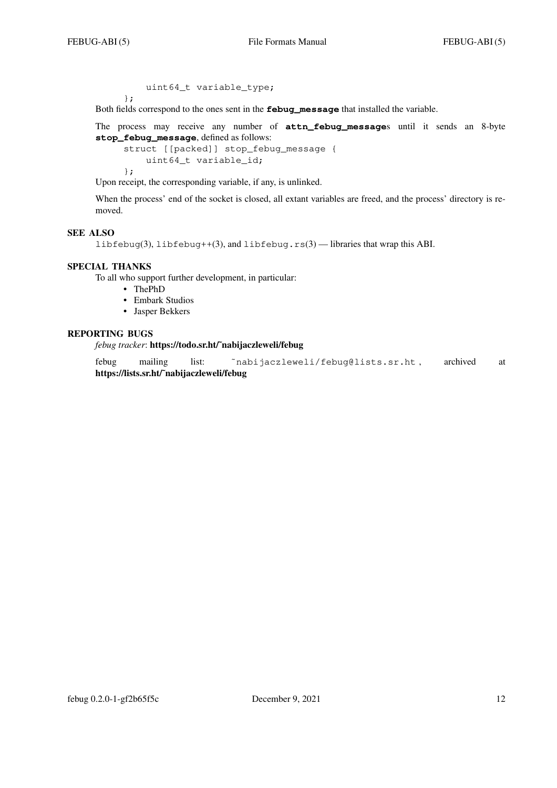uint64\_t variable\_type;

};

Both fields correspond to the ones sent in the **febug\_message** that installed the variable.

The process may receive any number of **attn\_febug\_message**s until it sends an 8-byte **stop\_febug\_message**, defined as follows:

```
struct [[packed]] stop_febug_message {
   uint64 t variable id;
};
```
Upon receipt, the corresponding variable, if any, is unlinked.

When the process' end of the socket is closed, all extant variables are freed, and the process' directory is removed.

## **SEE ALSO**

libfebug(3), libfebug++(3), and libfebug.rs(3) — libraries that wrap this ABI.

## **SPECIAL THANKS**

To all who support further development, in particular:

- **•** ThePhD
- **•** Embark Studios
- **•** Jasper Bekkers

## **REPORTING BUGS**

*febug tracker*: **https://todo.sr.ht/˜nabijaczleweli/febug**

febug mailing list: 〈˜nabijaczleweli/febug@lists.sr.ht〉, archived at **https://lists.sr.ht/˜nabijaczleweli/febug**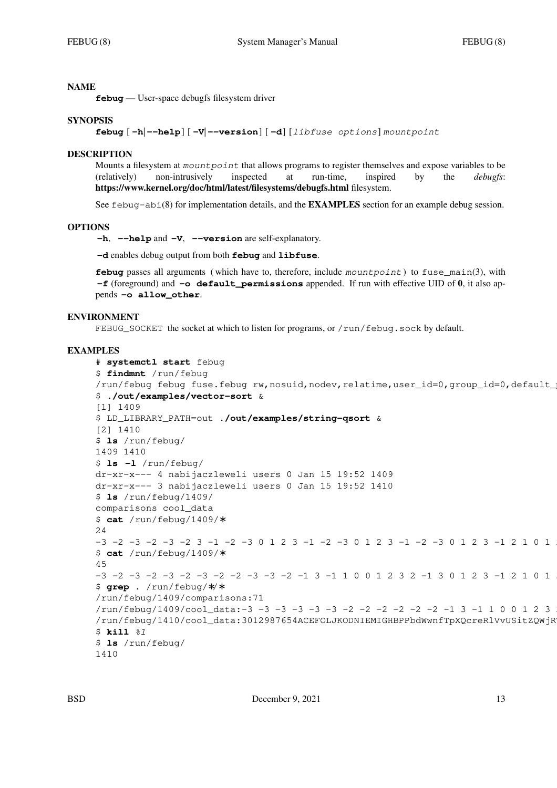**febug** — User-space debugfs filesystem driver

### **SYNOPSIS**

**febug** [ **−h**| **−-help**] [ **−V**| **−-version**] [ **−d**] [*libfuse options*] *mountpoint*

#### **DESCRIPTION**

Mounts a filesystem at *mountpoint* that allows programs to register themselves and expose variables to be (relatively) non-intrusively inspected at run-time, inspired by the *debugfs*: **https://www.kernel.org/doc/html/latest/filesystems/debugfs.html** filesystem.

See febug-abi(8) for implementation details, and the **EXAMPLES** section for an example debug session.

#### **OPTIONS**

**−h**, **−-help** and **−V**, **−-version** are self-explanatory.

**−d** enables debug output from both **febug** and **libfuse**.

**febug** passes all arguments ( which have to, therefore, include *mountpoint* ) to fuse\_main(3), with **−f** (foreground) and **−o default\_permissions** appended. If run with effective UID of **0**, it also appends **−o allow\_other**.

#### **ENVIRONMENT**

FEBUG\_SOCKET the socket at which to listen for programs, or /run/febug.sock by default.

#### **EXAMPLES**

```
# systemctl start febug
$ findmnt /run/febug
/run/febug febug fuse.febug rw,nosuid,nodev,relatime,user_id=0,group_id=0,default
$ ./out/examples/vector-sort &
[1] 1409
$ LD_LIBRARY_PATH=out ./out/examples/string-qsort &
[2] 1410
$ ls /run/febug/
1409 1410
$ ls −l /run/febug/
dr-xr-x--- 4 nabijaczleweli users 0 Jan 15 19:52 1409
dr-xr-x--- 3 nabijaczleweli users 0 Jan 15 19:52 1410
$ ls /run/febug/1409/
comparisons cool_data
$ cat /run/febug/1409/∗
24
-3 -2 -3 -2 -3 -2 3 -1 -2 -3 0 1 2 3 -1 -2 -3 0 1 2 3 -1 2 2 2 2 1 0 1
$ cat /run/febug/1409/∗
45
-3 -2 -3 -2 -3 -2 -3 -2 -2 -3 -3 -2 -1 3 -1 1 0 0 1 2 3 2 -1 3 0 1 2 3 -1 2 1 0 1
$ grep . /run/febug/∗/∗
/run/febug/1409/comparisons:71
/run/febug/1409/cool_data:-3 -3 -3 -3 -3 -3 -2 -2 -2 -2 -2 -2 -1 3 -1 1 0 0 1 2 3
/run/febug/1410/cool_data:3012987654ACEFOLJKODNIEMIGHBPPbdWwnfTpXOcreRlVvUSitZOWjR
$ kill %1
$ ls /run/febug/
1410
```